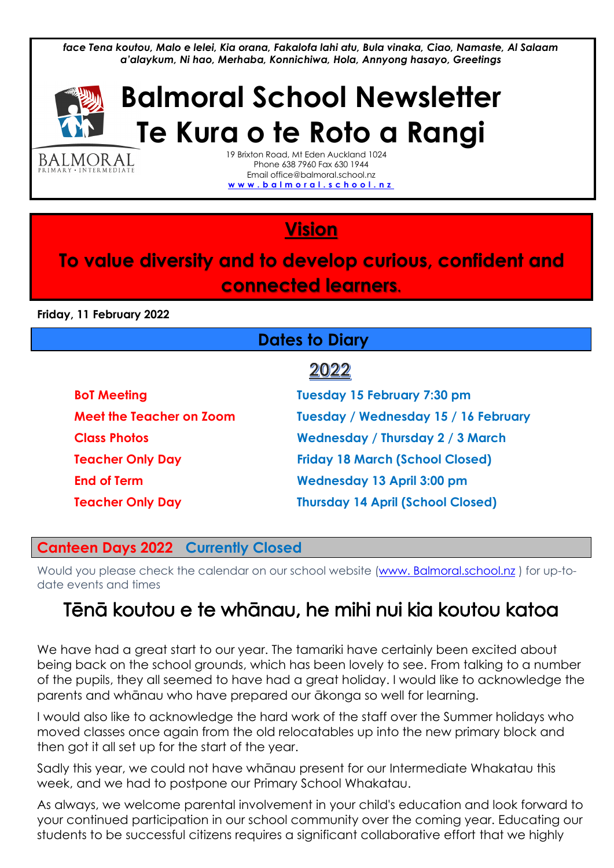*face Tena koutou, Malo e lelei, Kia orana, Fakalofa lahi atu, Bula vinaka, Ciao, Namaste, Al Salaam a'alaykum, Ni hao, Merhaba, Konnichiwa, Hola, Annyong hasayo, Greetings*



BALMORAL INTERMEDIAT

# **Balmoral School Newsletter Te Kura o te Roto a Rangi**

19 Brixton Road, Mt Eden Auckland 1024 Phone 638 7960 Fax 630 1944 Email office@balmoral.school.nz **[w w w . b a l m o r a l . s c h o o l . n z](http://www.balmoral.school.nz/)**

# **Vision**

## **To value diversity and to develop curious, confident and connected learners.**

**Friday, 11 February 2022**

### **Dates to Diary**

# 2022

| <b>BoT Meeting</b>       | <b>Tuesday 15 February 7:30 pm</b>       |  |
|--------------------------|------------------------------------------|--|
| Meet the Teacher on Zoom | Tuesday / Wednesday 15 / 16 February     |  |
| <b>Class Photos</b>      | <b>Wednesday / Thursday 2 / 3 March</b>  |  |
| <b>Teacher Only Day</b>  | <b>Friday 18 March (School Closed)</b>   |  |
| <b>End of Term</b>       | <b>Wednesday 13 April 3:00 pm</b>        |  |
| <b>Teacher Only Day</b>  | <b>Thursday 14 April (School Closed)</b> |  |

#### **Canteen Days 2022 Currently Closed**

Would you please check the calendar on our school website (www. [Balmoral.school.nz](http://www.balmoral.school.nz/) ) for up-todate events and times

# Tēnā koutou e te whānau, he mihi nui kia koutou katoa

We have had a great start to our year. The tamariki have certainly been excited about being back on the school grounds, which has been lovely to see. From talking to a number of the pupils, they all seemed to have had a great holiday. I would like to acknowledge the parents and whānau who have prepared our ākonga so well for learning.

I would also like to acknowledge the hard work of the staff over the Summer holidays who moved classes once again from the old relocatables up into the new primary block and then got it all set up for the start of the year.

Sadly this year, we could not have whānau present for our Intermediate Whakatau this week, and we had to postpone our Primary School Whakatau.

As always, we welcome parental involvement in your child's education and look forward to your continued participation in our school community over the coming year. Educating our students to be successful citizens requires a significant collaborative effort that we highly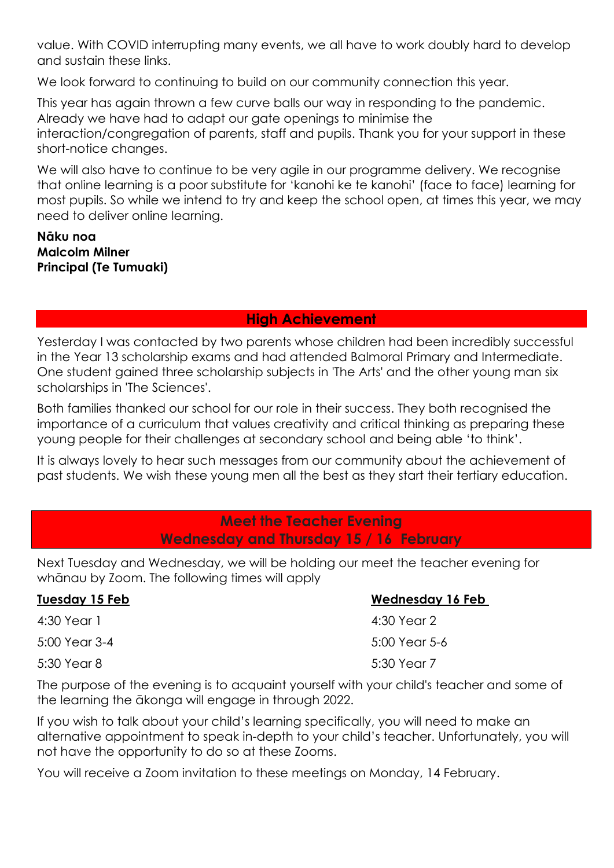value. With COVID interrupting many events, we all have to work doubly hard to develop and sustain these links.

We look forward to continuing to build on our community connection this year.

This year has again thrown a few curve balls our way in responding to the pandemic. Already we have had to adapt our gate openings to minimise the interaction/congregation of parents, staff and pupils. Thank you for your support in these short-notice changes.

We will also have to continue to be very agile in our programme delivery. We recognise that online learning is a poor substitute for 'kanohi ke te kanohi' (face to face) learning for most pupils. So while we intend to try and keep the school open, at times this year, we may need to deliver online learning.

**Nāku noa Malcolm Milner Principal (Te Tumuaki)**

#### **High Achievement**

Yesterday I was contacted by two parents whose children had been incredibly successful in the Year 13 scholarship exams and had attended Balmoral Primary and Intermediate. One student gained three scholarship subjects in 'The Arts' and the other young man six scholarships in 'The Sciences'.

Both families thanked our school for our role in their success. They both recognised the importance of a curriculum that values creativity and critical thinking as preparing these young people for their challenges at secondary school and being able 'to think'.

It is always lovely to hear such messages from our community about the achievement of past students. We wish these young men all the best as they start their tertiary education.

#### **Meet the Teacher Evening Wednesday and Thursday 15 / 16 February**

Next Tuesday and Wednesday, we will be holding our meet the teacher evening for whānau by Zoom. The following times will apply

| Tuesday 15 Feb | <b>Wednesday 16 Feb</b> |
|----------------|-------------------------|
| 4:30 Year 1    | 4:30 Year 2             |
| 5:00 Year 3-4  | 5:00 Year 5-6           |
| 5:30 Year 8    | 5:30 Year 7             |

The purpose of the evening is to acquaint yourself with your child's teacher and some of the learning the ākonga will engage in through 2022.

If you wish to talk about your child's learning specifically, you will need to make an alternative appointment to speak in-depth to your child's teacher. Unfortunately, you will not have the opportunity to do so at these Zooms.

You will receive a Zoom invitation to these meetings on Monday, 14 February.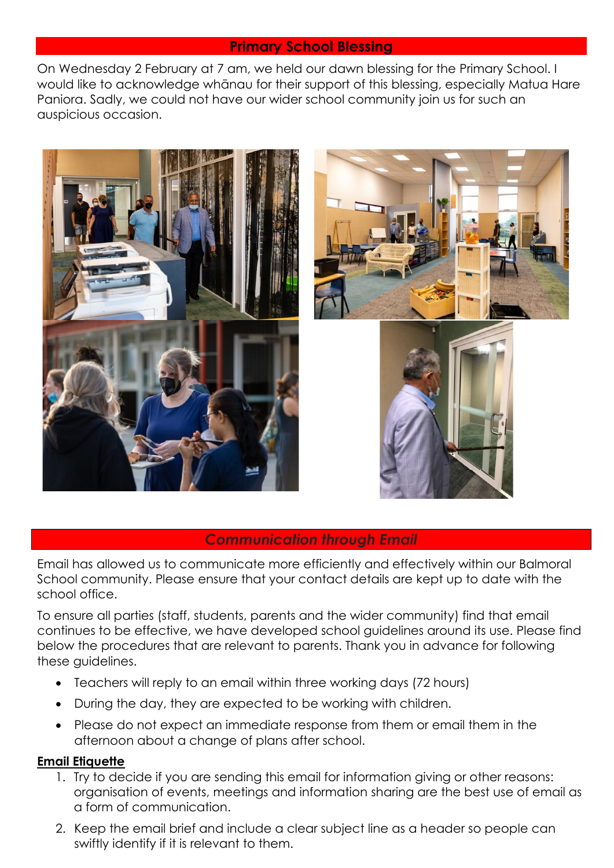#### **Primary School Blessing**

On Wednesday 2 February at 7 am, we held our dawn blessing for the Primary School. I would like to acknowledge whānau for their support of this blessing, especially Matua Hare Paniora. Sadly, we could not have our wider school community join us for such an auspicious occasion.



#### *Communication through Email*

Email has allowed us to communicate more efficiently and effectively within our Balmoral School community. Please ensure that your contact details are kept up to date with the school office.

To ensure all parties (staff, students, parents and the wider community) find that email continues to be effective, we have developed school guidelines around its use. Please find below the procedures that are relevant to parents. Thank you in advance for following these guidelines.

- Teachers will reply to an email within three working days (72 hours)
- During the day, they are expected to be working with children.
- Please do not expect an immediate response from them or email them in the afternoon about a change of plans after school.

#### **Email Etiquette**

- 1. Try to decide if you are sending this email for information giving or other reasons: organisation of events, meetings and information sharing are the best use of email as a form of communication.
- 2. Keep the email brief and include a clear subject line as a header so people can swiftly identify if it is relevant to them.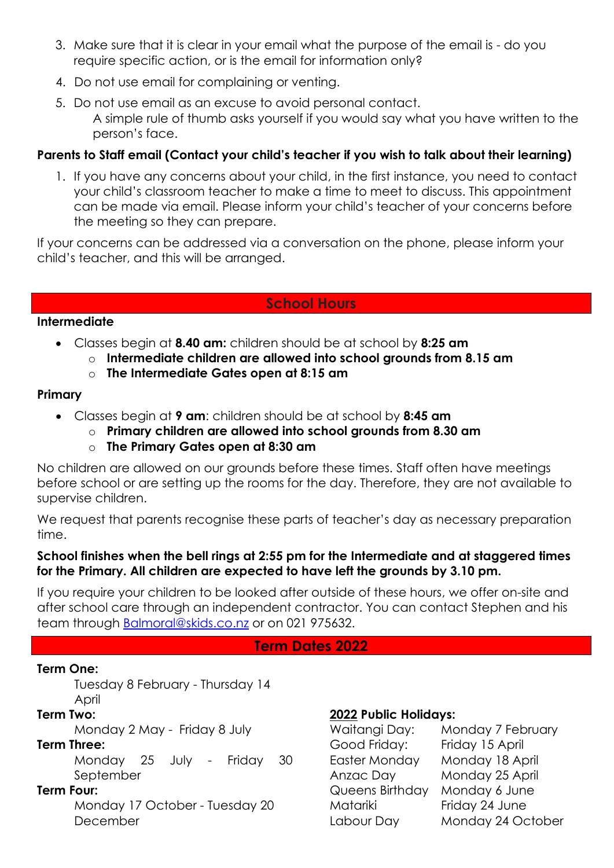- 3. Make sure that it is clear in your email what the purpose of the email is do you require specific action, or is the email for information only?
- 4. Do not use email for complaining or venting.
- 5. Do not use email as an excuse to avoid personal contact. A simple rule of thumb asks yourself if you would say what you have written to the person's face.

#### Parents to Staff email (Contact your child's teacher if you wish to talk about their learning)

1. If you have any concerns about your child, in the first instance, you need to contact your child's classroom teacher to make a time to meet to discuss. This appointment can be made via email. Please inform your child's teacher of your concerns before the meeting so they can prepare.

If your concerns can be addressed via a conversation on the phone, please inform your child's teacher, and this will be arranged.

#### **School Hours**

#### **Intermediate**

- Classes begin at **8.40 am:** children should be at school by **8:25 am**
	- o **Intermediate children are allowed into school grounds from 8.15 am**
		- o **The Intermediate Gates open at 8:15 am**

#### **Primary**

- Classes begin at **9 am**: children should be at school by **8:45 am**
	- o **Primary children are allowed into school grounds from 8.30 am**
	- o **The Primary Gates open at 8:30 am**

No children are allowed on our grounds before these times. Staff often have meetings before school or are setting up the rooms for the day. Therefore, they are not available to supervise children.

We request that parents recognise these parts of teacher's day as necessary preparation time.

#### **School finishes when the bell rings at 2:55 pm for the Intermediate and at staggered times for the Primary. All children are expected to have left the grounds by 3.10 pm.**

If you require your children to be looked after outside of these hours, we offer on-site and after school care through an independent contractor. You can contact Stephen and his team through [Balmoral@skids.co.nz](mailto:Balmoral@skids.co.nz) or on 021 975632.

#### **Term Dates 2022**

#### **Term One:**

Tuesday 8 February - Thursday 14 April

#### **Term Two:**

Monday 2 May - Friday 8 July

#### **Term Three:**

Monday 25 July - Friday 30 September

#### **Term Four:**

Monday 17 October - Tuesday 20 December

#### **2022 Public Holidays:**

| Waitangi Day:        | Monday 7 February |
|----------------------|-------------------|
| Good Friday:         | Friday 15 April   |
| <b>Easter Monday</b> | Monday 18 April   |
| Anzac Day            | Monday 25 April   |
| Queens Birthday      | Monday 6 June     |
| Matariki             | Friday 24 June    |
| Labour Day           | Monday 24 October |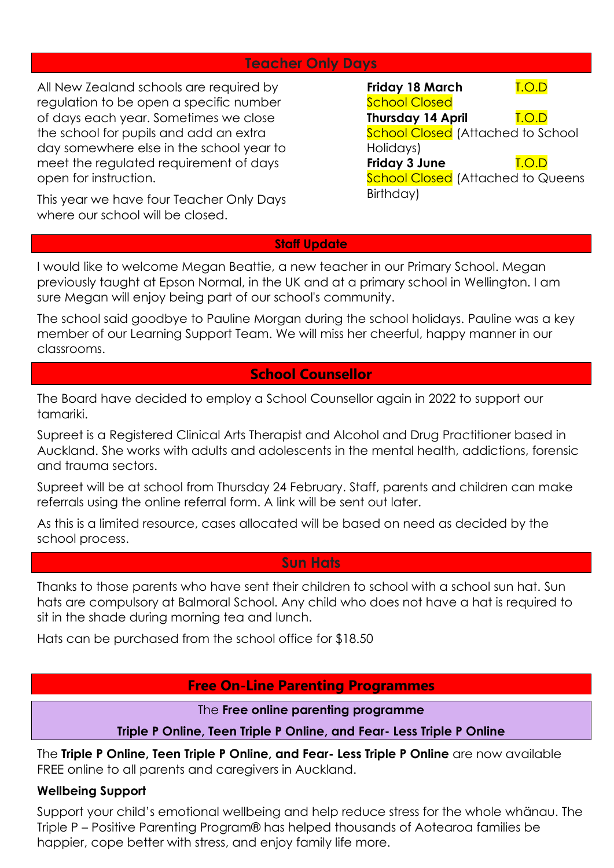#### **Teacher Only Days**

All New Zealand schools are required by regulation to be open a specific number of days each year. Sometimes we close the school for pupils and add an extra day somewhere else in the school year to meet the regulated requirement of days open for instruction.

This year we have four Teacher Only Days where our school will be closed.

| <b>Friday 18 March</b>   | <u>I.O.D</u>                             |
|--------------------------|------------------------------------------|
| <b>School Closed</b>     |                                          |
| <b>Thursday 14 April</b> | LO.D                                     |
|                          | <b>School Closed</b> (Attached to School |
| Holidays)                |                                          |
| Friday 3 June            | <u>T.O.D</u>                             |
|                          | <b>School Closed</b> (Attached to Queens |
| Birthday)                |                                          |

#### **Staff Update**

I would like to welcome Megan Beattie, a new teacher in our Primary School. Megan previously taught at Epson Normal, in the UK and at a primary school in Wellington. I am sure Megan will enjoy being part of our school's community.

The school said goodbye to Pauline Morgan during the school holidays. Pauline was a key member of our Learning Support Team. We will miss her cheerful, happy manner in our classrooms.

#### **School Counsellor**

The Board have decided to employ a School Counsellor again in 2022 to support our tamariki.

Supreet is a Registered Clinical Arts Therapist and Alcohol and Drug Practitioner based in Auckland. She works with adults and adolescents in the mental health, addictions, forensic and trauma sectors.

Supreet will be at school from Thursday 24 February. Staff, parents and children can make referrals using the online referral form. A link will be sent out later.

As this is a limited resource, cases allocated will be based on need as decided by the school process.

#### **Sun Hats**

Thanks to those parents who have sent their children to school with a school sun hat. Sun hats are compulsory at Balmoral School. Any child who does not have a hat is required to sit in the shade during morning tea and lunch.

Hats can be purchased from the school office for \$18.50

#### **Free On-Line Parenting Programmes**

#### The **Free online parenting programme**

#### **Triple P Online, Teen Triple P Online, and Fear- Less Triple P Online**

The **Triple P Online, Teen Triple P Online, and Fear- Less Triple P Online** are now available FREE online to all parents and caregivers in Auckland.

#### **Wellbeing Support**

Support your child's emotional wellbeing and help reduce stress for the whole whänau. The Triple P – Positive Parenting Program® has helped thousands of Aotearoa families be happier, cope better with stress, and enjoy family life more.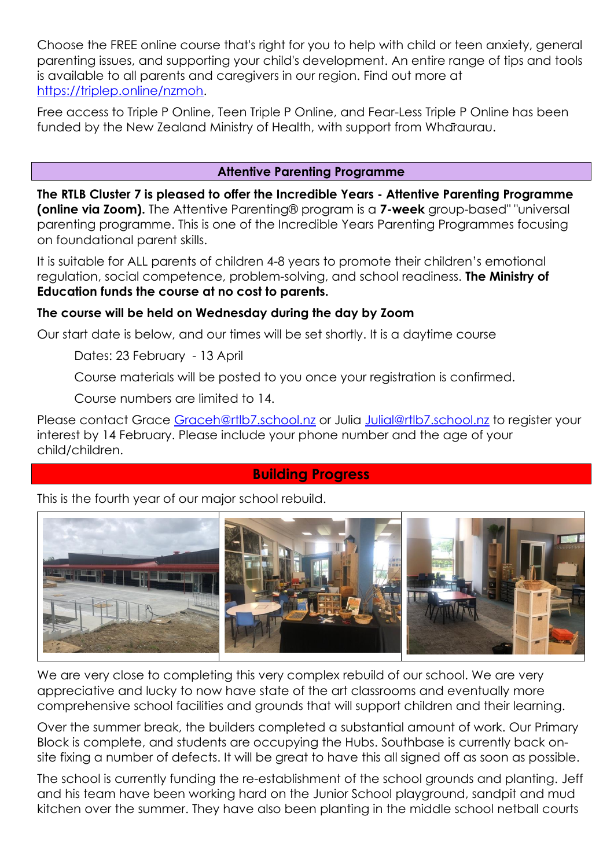Choose the FREE online course that's right for you to help with child or teen anxiety, general parenting issues, and supporting your child's development. An entire range of tips and tools is available to all parents and caregivers in our region. Find out more at [https://triplep.online/nzmoh.](https://triplep.online/nzmoh)

Free access to Triple P Online, Teen Triple P Online, and Fear-Less Triple P Online has been funded by the New Zealand Ministry of Health, with support from Whāraurau.

#### **Attentive Parenting Programme**

**The RTLB Cluster 7 is pleased to offer the Incredible Years - Attentive Parenting Programme (online via Zoom).** The Attentive Parenting® program is a **7-week** group-based" "universal parenting programme. This is one of the Incredible Years Parenting Programmes focusing on foundational parent skills.

It is suitable for ALL parents of children 4-8 years to promote their children's emotional regulation, social competence, problem-solving, and school readiness. **The Ministry of Education funds the course at no cost to parents.**

#### **The course will be held on Wednesday during the day by Zoom**

Our start date is below, and our times will be set shortly. It is a daytime course

Dates: 23 February - 13 April

Course materials will be posted to you once your registration is confirmed.

Course numbers are limited to 14.

Please contact Grace [Graceh@rtlb7.school.nz](mailto:Graceh@rtlb7.school.nz) or Julia [Julial@rtlb7.school.nz](mailto:Julial@rtlb7.school.nz) to register your interest by 14 February. Please include your phone number and the age of your child/children.

#### **Building Progress**

This is the fourth year of our major school rebuild.



We are very close to completing this very complex rebuild of our school. We are very appreciative and lucky to now have state of the art classrooms and eventually more comprehensive school facilities and grounds that will support children and their learning.

Over the summer break, the builders completed a substantial amount of work. Our Primary Block is complete, and students are occupying the Hubs. Southbase is currently back onsite fixing a number of defects. It will be great to have this all signed off as soon as possible.

The school is currently funding the re-establishment of the school grounds and planting. Jeff and his team have been working hard on the Junior School playground, sandpit and mud kitchen over the summer. They have also been planting in the middle school netball courts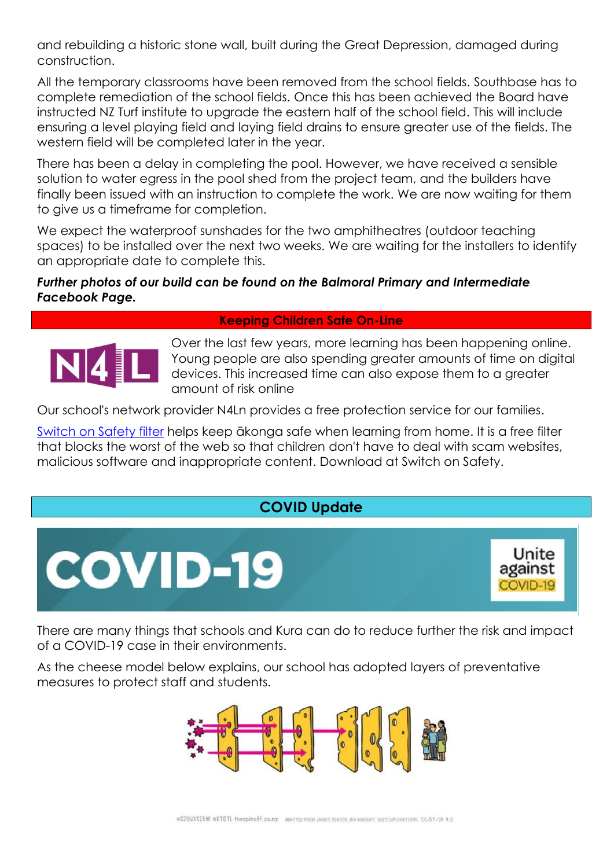and rebuilding a historic stone wall, built during the Great Depression, damaged during construction.

All the temporary classrooms have been removed from the school fields. Southbase has to complete remediation of the school fields. Once this has been achieved the Board have instructed NZ Turf institute to upgrade the eastern half of the school field. This will include ensuring a level playing field and laying field drains to ensure greater use of the fields. The western field will be completed later in the year.

There has been a delay in completing the pool. However, we have received a sensible solution to water egress in the pool shed from the project team, and the builders have finally been issued with an instruction to complete the work. We are now waiting for them to give us a timeframe for completion.

We expect the waterproof sunshades for the two amphitheatres (outdoor teaching spaces) to be installed over the next two weeks. We are waiting for the installers to identify an appropriate date to complete this.

#### *Further photos of our build can be found on the Balmoral Primary and Intermediate Facebook Page.*

#### **Keeping Children Safe On-Line**



Over the last few years, more learning has been happening online. Young people are also spending greater amounts of time on digital devices. This increased time can also expose them to a greater amount of risk online

Our school's network provider N4Ln provides a free protection service for our families.

Switch on [Safety filter](https://switchonsafety.co.nz/) helps keep ākonga safe when learning from home. It is a free filter that blocks the worst of the web so that children don't have to deal with scam websites, malicious software and inappropriate content. Download at Switch on Safety.

### **COVID Update**



There are many things that schools and Kura can do to reduce further the risk and impact of a COVID-19 case in their environments.

As the cheese model below explains, our school has adopted layers of preventative measures to protect staff and students.

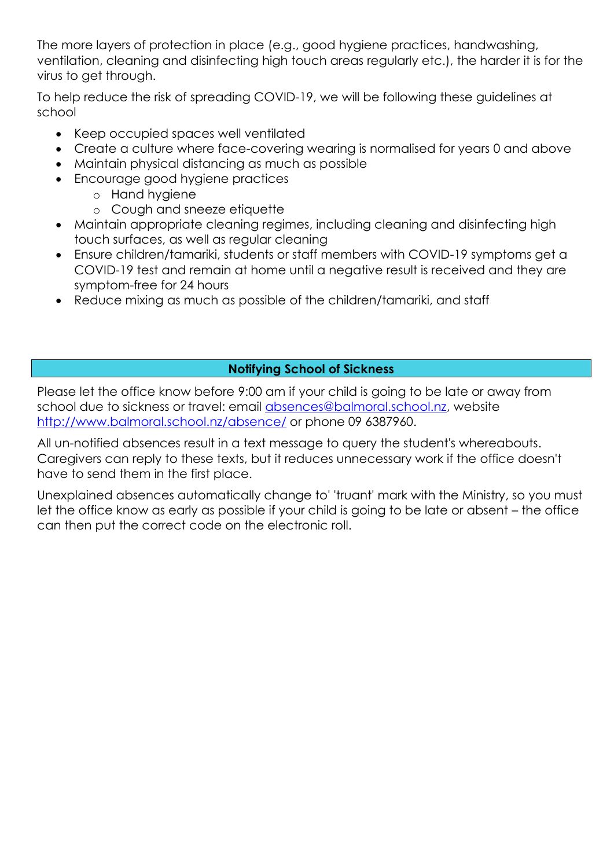The more layers of protection in place (e.g., good hygiene practices, handwashing, ventilation, cleaning and disinfecting high touch areas regularly etc.), the harder it is for the virus to get through.

To help reduce the risk of spreading COVID-19, we will be following these guidelines at school

- Keep occupied spaces well ventilated
- Create a culture where face-covering wearing is normalised for years 0 and above
- Maintain physical distancing as much as possible
- Encourage good hygiene practices
	- o Hand hygiene
	- o Cough and sneeze etiquette
- Maintain appropriate cleaning regimes, including cleaning and disinfecting high touch surfaces, as well as regular cleaning
- Ensure children/tamariki, students or staff members with COVID-19 symptoms get a COVID-19 test and remain at home until a negative result is received and they are symptom-free for 24 hours
- Reduce mixing as much as possible of the children/tamariki, and staff

#### **Notifying School of Sickness**

Please let the office know before 9:00 am if your child is going to be late or away from school due to sickness or travel: email [absences@balmoral.school.nz,](mailto:absences@balmoral.school.nz) website <http://www.balmoral.school.nz/absence/> or phone 09 6387960.

All un-notified absences result in a text message to query the student's whereabouts. Caregivers can reply to these texts, but it reduces unnecessary work if the office doesn't have to send them in the first place.

Unexplained absences automatically change to' 'truant' mark with the Ministry, so you must let the office know as early as possible if your child is going to be late or absent – the office can then put the correct code on the electronic roll.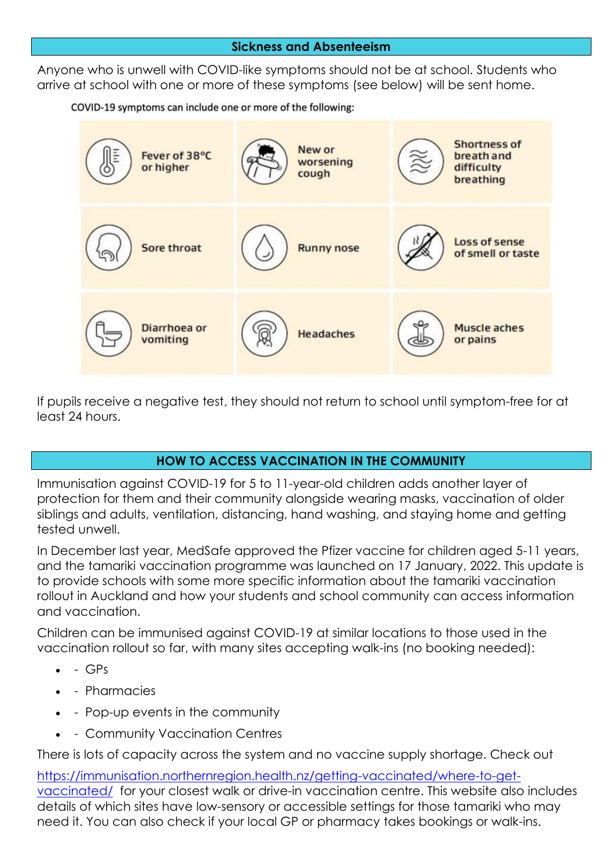#### **Sickness and Absenteeism**

Anyone who is unwell with COVID-like symptoms should not be at school. Students who arrive at school with one or more of these symptoms (see below) will be sent home.

COVID-19 symptoms can include one or more of the following:



If pupils receive a negative test, they should not return to school until symptom-free for at least 24 hours.

#### **HOW TO ACCESS VACCINATION IN THE COMMUNITY**

Immunisation against COVID-19 for 5 to 11-year-old children adds another layer of protection for them and their community alongside wearing masks, vaccination of older siblings and adults, ventilation, distancing, hand washing, and staying home and getting tested unwell.

In December last year, MedSafe approved the Pfizer vaccine for children aged 5-11 years, and the tamariki vaccination programme was launched on 17 January, 2022. This update is to provide schools with some more specific information about the tamariki vaccination rollout in Auckland and how your students and school community can access information and vaccination.

Children can be immunised against COVID-19 at similar locations to those used in the vaccination rollout so far, with many sites accepting walk-ins (no booking needed):

- $\bullet$  GPs
- - Pharmacies
- - Pop-up events in the community
- - Community Vaccination Centres

There is lots of capacity across the system and no vaccine supply shortage. Check out

[https://immunisation.northernregion.health.nz/getting-vaccinated/where-to-get](https://immunisation.northernregion.health.nz/getting-vaccinated/where-to-get-vaccinated/)[vaccinated/](https://immunisation.northernregion.health.nz/getting-vaccinated/where-to-get-vaccinated/) for your closest walk or drive-in vaccination centre. This website also includes details of which sites have low-sensory or accessible settings for those tamariki who may need it. You can also check if your local GP or pharmacy takes bookings or walk-ins.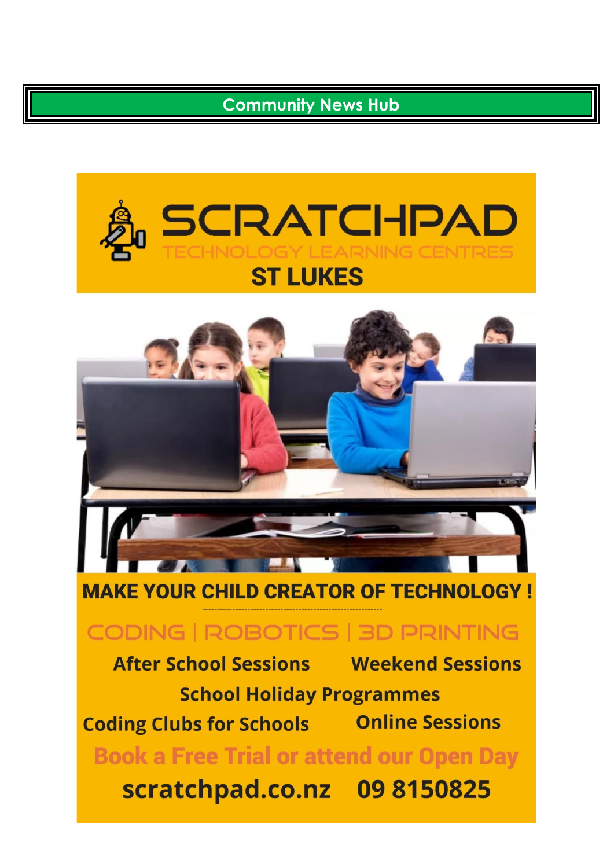### **Community News Hub**